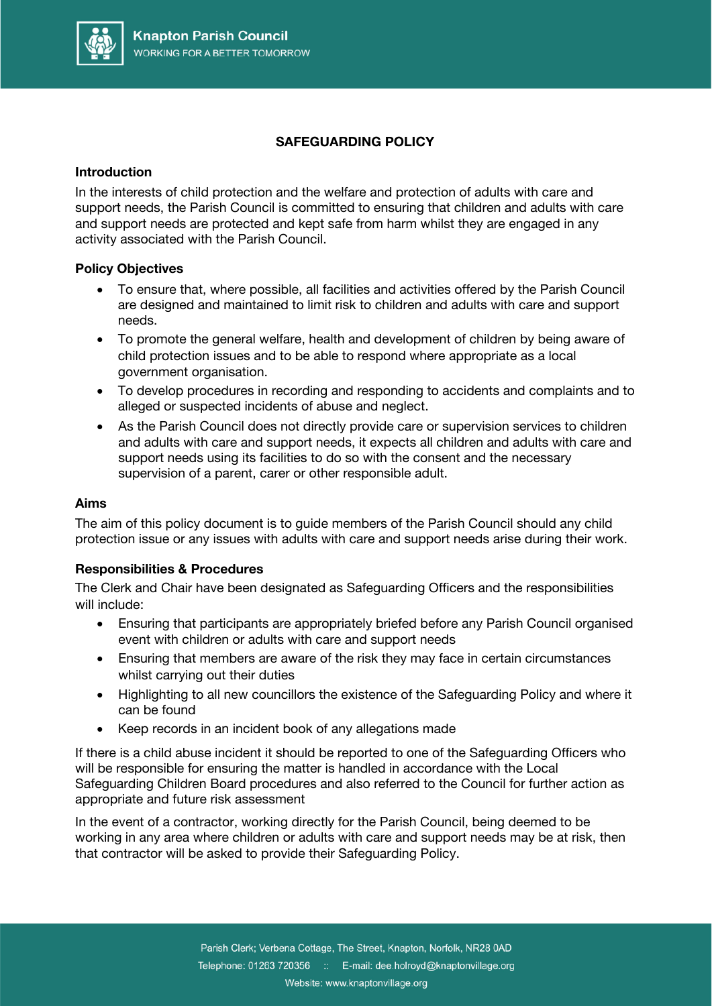

# **SAFEGUARDING POLICY**

### **Introduction**

In the interests of child protection and the welfare and protection of adults with care and support needs, the Parish Council is committed to ensuring that children and adults with care and support needs are protected and kept safe from harm whilst they are engaged in any activity associated with the Parish Council.

#### **Policy Objectives**

- To ensure that, where possible, all facilities and activities offered by the Parish Council are designed and maintained to limit risk to children and adults with care and support needs.
- To promote the general welfare, health and development of children by being aware of child protection issues and to be able to respond where appropriate as a local government organisation.
- To develop procedures in recording and responding to accidents and complaints and to alleged or suspected incidents of abuse and neglect.
- As the Parish Council does not directly provide care or supervision services to children and adults with care and support needs, it expects all children and adults with care and support needs using its facilities to do so with the consent and the necessary supervision of a parent, carer or other responsible adult.

#### **Aims**

The aim of this policy document is to guide members of the Parish Council should any child protection issue or any issues with adults with care and support needs arise during their work.

## **Responsibilities & Procedures**

The Clerk and Chair have been designated as Safeguarding Officers and the responsibilities will include:

- Ensuring that participants are appropriately briefed before any Parish Council organised event with children or adults with care and support needs
- Ensuring that members are aware of the risk they may face in certain circumstances whilst carrying out their duties
- Highlighting to all new councillors the existence of the Safeguarding Policy and where it can be found
- Keep records in an incident book of any allegations made

If there is a child abuse incident it should be reported to one of the Safeguarding Officers who will be responsible for ensuring the matter is handled in accordance with the Local Safeguarding Children Board procedures and also referred to the Council for further action as appropriate and future risk assessment

In the event of a contractor, working directly for the Parish Council, being deemed to be working in any area where children or adults with care and support needs may be at risk, then that contractor will be asked to provide their Safeguarding Policy.